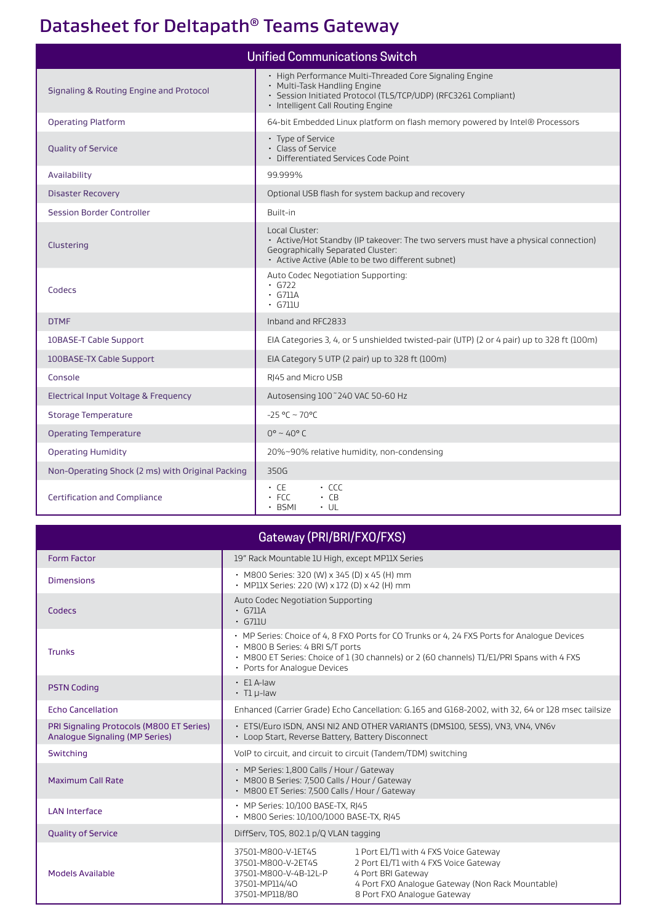## Datasheet for Deltapath® Teams Gateway

| <b>Unified Communications Switch</b>             |                                                                                                                                                                                                 |  |  |  |
|--------------------------------------------------|-------------------------------------------------------------------------------------------------------------------------------------------------------------------------------------------------|--|--|--|
| Signaling & Routing Engine and Protocol          | • High Performance Multi-Threaded Core Signaling Engine<br>• Multi-Task Handling Engine<br>· Session Initiated Protocol (TLS/TCP/UDP) (RFC3261 Compliant)<br>· Intelligent Call Routing Engine  |  |  |  |
| <b>Operating Platform</b>                        | 64-bit Embedded Linux platform on flash memory powered by Intel® Processors                                                                                                                     |  |  |  |
| <b>Quality of Service</b>                        | • Type of Service<br>· Class of Service<br>• Differentiated Services Code Point                                                                                                                 |  |  |  |
| Availability                                     | 99.999%                                                                                                                                                                                         |  |  |  |
| <b>Disaster Recovery</b>                         | Optional USB flash for system backup and recovery                                                                                                                                               |  |  |  |
| <b>Session Border Controller</b>                 | Built-in                                                                                                                                                                                        |  |  |  |
| Clustering                                       | Local Cluster:<br>• Active/Hot Standby (IP takeover: The two servers must have a physical connection)<br>Geographically Separated Cluster:<br>• Active Active (Able to be two different subnet) |  |  |  |
| Codecs                                           | Auto Codec Negotiation Supporting:<br>$-6722$<br>$\cdot$ G711A<br>$\cdot$ G711U                                                                                                                 |  |  |  |
| <b>DTMF</b>                                      | Inband and RFC2833                                                                                                                                                                              |  |  |  |
| 10BASE-T Cable Support                           | EIA Categories 3, 4, or 5 unshielded twisted-pair (UTP) (2 or 4 pair) up to 328 ft (100m)                                                                                                       |  |  |  |
| 100BASE-TX Cable Support                         | EIA Category 5 UTP (2 pair) up to 328 ft (100m)                                                                                                                                                 |  |  |  |
| Console                                          | RJ45 and Micro USB                                                                                                                                                                              |  |  |  |
| Electrical Input Voltage & Frequency             | Autosensing 100~240 VAC 50-60 Hz                                                                                                                                                                |  |  |  |
| <b>Storage Temperature</b>                       | $-25 °C - 70 °C$                                                                                                                                                                                |  |  |  |
| <b>Operating Temperature</b>                     | $0^{\circ}$ ~ 40° C                                                                                                                                                                             |  |  |  |
| <b>Operating Humidity</b>                        | 20%~90% relative humidity, non-condensing                                                                                                                                                       |  |  |  |
| Non-Operating Shock (2 ms) with Original Packing | 350G                                                                                                                                                                                            |  |  |  |
| <b>Certification and Compliance</b>              | $\cdot$ CCC<br>• CE<br>$-FCC$<br>$\cdot$ CB<br>$\cdot$ BSMI<br>$\cdot$ UL                                                                                                                       |  |  |  |

| Gateway (PRI/BRI/FXO/FXS)                                                         |                                                                                                                                                                                                                                                              |                                                                                                                                                                                         |  |  |  |
|-----------------------------------------------------------------------------------|--------------------------------------------------------------------------------------------------------------------------------------------------------------------------------------------------------------------------------------------------------------|-----------------------------------------------------------------------------------------------------------------------------------------------------------------------------------------|--|--|--|
| Form Factor                                                                       | 19" Rack Mountable 1U High, except MP11X Series                                                                                                                                                                                                              |                                                                                                                                                                                         |  |  |  |
| <b>Dimensions</b>                                                                 | • M800 Series: 320 (W) x 345 (D) x 45 (H) mm<br>• MP11X Series: 220 (W) x 172 (D) x 42 (H) mm                                                                                                                                                                |                                                                                                                                                                                         |  |  |  |
| Codecs                                                                            | Auto Codec Negotiation Supporting<br>$\cdot$ G711A<br>$\cdot$ G711U                                                                                                                                                                                          |                                                                                                                                                                                         |  |  |  |
| <b>Trunks</b>                                                                     | • MP Series: Choice of 4, 8 FXO Ports for CO Trunks or 4, 24 FXS Ports for Analogue Devices<br>· M800 B Series: 4 BRI S/T ports<br>• M800 ET Series: Choice of 1 (30 channels) or 2 (60 channels) T1/E1/PRI Spans with 4 FXS<br>• Ports for Analogue Devices |                                                                                                                                                                                         |  |  |  |
| <b>PSTN Coding</b>                                                                | $\cdot$ E1 A-law<br>$\cdot$ T1 $\mu$ -law                                                                                                                                                                                                                    |                                                                                                                                                                                         |  |  |  |
| <b>Echo Cancellation</b>                                                          |                                                                                                                                                                                                                                                              | Enhanced (Carrier Grade) Echo Cancellation: G.165 and G168-2002, with 32, 64 or 128 msec tailsize                                                                                       |  |  |  |
| PRI Signaling Protocols (M800 ET Series)<br><b>Analogue Signaling (MP Series)</b> | · ETSI/Euro ISDN, ANSI NI2 AND OTHER VARIANTS (DMS100, 5ESS), VN3, VN4, VN6v<br>• Loop Start, Reverse Battery, Battery Disconnect                                                                                                                            |                                                                                                                                                                                         |  |  |  |
| Switching                                                                         |                                                                                                                                                                                                                                                              | VoIP to circuit, and circuit to circuit (Tandem/TDM) switching                                                                                                                          |  |  |  |
| <b>Maximum Call Rate</b>                                                          | • MP Series: 1,800 Calls / Hour / Gateway<br>· M800 B Series: 7,500 Calls / Hour / Gateway<br>• M800 ET Series: 7,500 Calls / Hour / Gateway                                                                                                                 |                                                                                                                                                                                         |  |  |  |
| <b>LAN Interface</b>                                                              | • MP Series: 10/100 BASE-TX, RJ45<br>• M800 Series: 10/100/1000 BASE-TX, RI45                                                                                                                                                                                |                                                                                                                                                                                         |  |  |  |
| <b>Quality of Service</b>                                                         | DiffServ, TOS, 802.1 p/Q VLAN tagging                                                                                                                                                                                                                        |                                                                                                                                                                                         |  |  |  |
| Models Available                                                                  | 37501-M800-V-1ET4S<br>37501-M800-V-2ET4S<br>37501-M800-V-4B-12L-P<br>37501-MP114/40<br>37501-MP118/80                                                                                                                                                        | 1 Port E1/T1 with 4 FXS Voice Gateway<br>2 Port E1/T1 with 4 FXS Voice Gateway<br>4 Port BRI Gateway<br>4 Port FXO Analogue Gateway (Non Rack Mountable)<br>8 Port FXO Analogue Gateway |  |  |  |